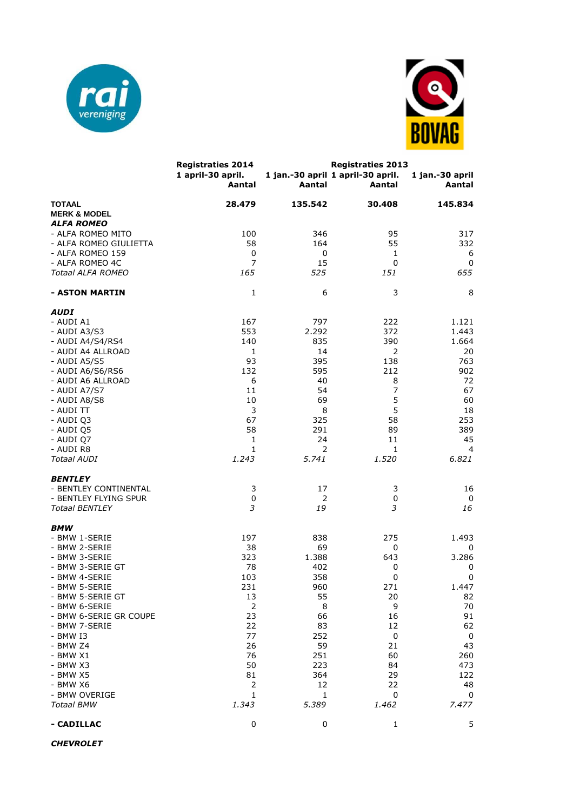



|                                          | <b>Registraties 2014</b>    | <b>Registraties 2013</b> |                                             |                           |  |
|------------------------------------------|-----------------------------|--------------------------|---------------------------------------------|---------------------------|--|
|                                          | 1 april-30 april.<br>Aantal | Aantal                   | 1 jan.-30 april 1 april-30 april.<br>Aantal | 1 jan.-30 april<br>Aantal |  |
| <b>TOTAAL</b><br><b>MERK &amp; MODEL</b> | 28.479                      | 135.542                  | 30.408                                      | 145.834                   |  |
| <b>ALFA ROMEO</b>                        |                             |                          |                                             |                           |  |
| - ALFA ROMEO MITO                        | 100                         | 346                      | 95                                          | 317                       |  |
| - ALFA ROMEO GIULIETTA                   | 58                          | 164                      | 55                                          | 332                       |  |
| - ALFA ROMEO 159                         | 0                           | 0                        | 1                                           | 6                         |  |
| - ALFA ROMEO 4C                          | $\overline{7}$              | 15                       | $\mathbf 0$                                 | 0                         |  |
| Totaal ALFA ROMEO                        | 165                         | 525                      | 151                                         | 655                       |  |
| - ASTON MARTIN                           | 1                           | 6                        | 3                                           | 8                         |  |
| <b>AUDI</b>                              |                             |                          |                                             |                           |  |
| - AUDI A1                                | 167                         | 797                      | 222                                         | 1.121                     |  |
| - AUDI A3/S3                             | 553                         | 2.292                    | 372                                         | 1.443                     |  |
| - AUDI A4/S4/RS4                         | 140                         | 835                      | 390                                         | 1.664                     |  |
| - AUDI A4 ALLROAD                        | 1                           | 14                       | 2                                           | 20                        |  |
| - AUDI A5/S5                             | 93                          | 395                      | 138                                         | 763                       |  |
| - AUDI A6/S6/RS6                         | 132                         | 595                      | 212                                         | 902                       |  |
| - AUDI A6 ALLROAD                        | 6                           | 40                       | 8                                           | 72                        |  |
| - AUDI A7/S7                             | 11                          | 54                       | $\overline{\phantom{a}}$                    | 67                        |  |
| - AUDI A8/S8                             | 10                          | 69                       | 5                                           | 60                        |  |
| - AUDI TT                                | 3                           | 8                        | 5                                           | 18                        |  |
| - AUDI Q3                                | 67                          | 325                      | 58                                          | 253                       |  |
| - AUDI Q5                                | 58                          | 291                      | 89                                          | 389                       |  |
| - AUDI Q7                                | 1                           | 24                       | 11                                          | 45                        |  |
| - AUDI R8                                | 1                           | 2                        | 1                                           | 4                         |  |
| <b>Totaal AUDI</b>                       | 1.243                       | 5.741                    | 1.520                                       | 6.821                     |  |
|                                          |                             |                          |                                             |                           |  |
| <b>BENTLEY</b>                           |                             |                          |                                             |                           |  |
| - BENTLEY CONTINENTAL                    | 3                           | 17                       | 3                                           | 16                        |  |
| - BENTLEY FLYING SPUR                    | 0                           | 2                        | 0                                           | 0                         |  |
| <b>Totaal BENTLEY</b>                    | 3                           | 19                       | 3                                           | 16                        |  |
|                                          |                             |                          |                                             |                           |  |
| BMW<br>- BMW 1-SERIE                     | 197                         | 838                      | 275                                         | 1.493                     |  |
|                                          | 38                          | 69                       |                                             |                           |  |
| - BMW 2-SERIE<br>- BMW 3-SERIE           | 323                         | 1.388                    | 0<br>643                                    | 0<br>3.286                |  |
|                                          | 78                          |                          |                                             |                           |  |
| - BMW 3-SERIE GT<br>- BMW 4-SERIE        | 103                         | 402<br>358               | 0                                           | 0                         |  |
|                                          | 231                         | 960                      | 0<br>271                                    | 0<br>1.447                |  |
| - BMW 5-SERIE                            |                             |                          |                                             |                           |  |
| - BMW 5-SERIE GT                         | 13                          | 55                       | 20                                          | 82                        |  |
| - BMW 6-SERIE                            | $\mathbf 2$                 | 8                        | 9                                           | 70                        |  |
| - BMW 6-SERIE GR COUPE                   | 23                          | 66                       | 16                                          | 91                        |  |
| - BMW 7-SERIE                            | 22                          | 83                       | 12                                          | 62                        |  |
| - BMW I3                                 | 77                          | 252                      | $\pmb{0}$                                   | 0                         |  |
| - BMW Z4                                 | 26                          | 59                       | 21                                          | 43                        |  |
| $-$ BMW $X1$                             | 76                          | 251                      | 60                                          | 260                       |  |
| - BMW X3                                 | 50                          | 223                      | 84                                          | 473                       |  |
| - BMW X5                                 | 81                          | 364                      | 29                                          | 122                       |  |
| - BMW X6                                 | $\overline{2}$              | 12                       | 22                                          | 48                        |  |
| - BMW OVERIGE                            | $\mathbf{1}$                | 1                        | 0                                           | 0                         |  |
| <b>Totaal BMW</b>                        | 1.343                       | 5.389                    | 1.462                                       | 7.477                     |  |
| - CADILLAC                               | 0                           | 0                        | 1                                           | 5                         |  |

*CHEVROLET*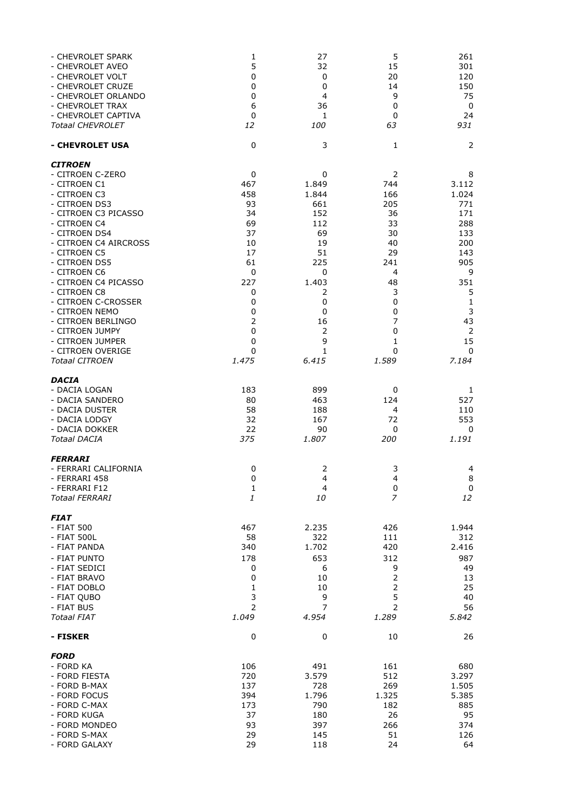| - CHEVROLET SPARK<br>- CHEVROLET AVEO<br>- CHEVROLET VOLT<br>- CHEVROLET CRUZE<br>- CHEVROLET ORLANDO<br>- CHEVROLET TRAX<br>- CHEVROLET CAPTIVA<br><b>Totaal CHEVROLET</b>                                                                                                                                                                                                                                        | 1<br>5<br>0<br>0<br>0<br>6<br>0<br>12                                                                                     | 27<br>32<br>0<br>0<br>4<br>36<br>1<br><i>100</i>                                                                                        | 5<br>15<br>20<br>14<br>9<br>0<br>0<br>63                                                                           | 261<br>301<br>120<br>150<br>75<br>0<br>24<br>931                                                                                                       |
|--------------------------------------------------------------------------------------------------------------------------------------------------------------------------------------------------------------------------------------------------------------------------------------------------------------------------------------------------------------------------------------------------------------------|---------------------------------------------------------------------------------------------------------------------------|-----------------------------------------------------------------------------------------------------------------------------------------|--------------------------------------------------------------------------------------------------------------------|--------------------------------------------------------------------------------------------------------------------------------------------------------|
| - CHEVROLET USA                                                                                                                                                                                                                                                                                                                                                                                                    | $\mathbf 0$                                                                                                               | 3                                                                                                                                       | 1                                                                                                                  | 2                                                                                                                                                      |
| <b>CITROEN</b><br>- CITROEN C-ZERO<br>- CITROEN C1<br>- CITROEN C3<br>- CITROEN DS3<br>- CITROEN C3 PICASSO<br>- CITROEN C4<br>- CITROEN DS4<br>- CITROEN C4 AIRCROSS<br>- CITROEN C5<br>- CITROEN DS5<br>- CITROEN C6<br>- CITROEN C4 PICASSO<br>- CITROEN C8<br>- CITROEN C-CROSSER<br>- CITROEN NEMO<br>- CITROEN BERLINGO<br>- CITROEN JUMPY<br>- CITROEN JUMPER<br>- CITROEN OVERIGE<br><b>Totaal CITROEN</b> | 0<br>467<br>458<br>93<br>34<br>69<br>37<br>10<br>17<br>61<br>$\pmb{0}$<br>227<br>0<br>0<br>0<br>2<br>0<br>0<br>0<br>1.475 | 0<br>1.849<br>1.844<br>661<br>152<br>112<br>69<br>19<br>51<br>225<br>0<br>1.403<br>2<br>0<br>0<br>16<br>2<br>9<br>$\mathbf{1}$<br>6.415 | 2<br>744<br>166<br>205<br>36<br>33<br>30<br>40<br>29<br>241<br>4<br>48<br>3<br>0<br>0<br>7<br>0<br>1<br>0<br>1.589 | 8<br>3.112<br>1.024<br>771<br>171<br>288<br>133<br>200<br>143<br>905<br>9<br>351<br>5<br>$\mathbf{1}$<br>3<br>43<br>$\overline{2}$<br>15<br>0<br>7.184 |
| DACIA<br>- DACIA LOGAN<br>- DACIA SANDERO<br>- DACIA DUSTER<br>- DACIA LODGY<br>- DACIA DOKKER<br>Totaal DACIA                                                                                                                                                                                                                                                                                                     | 183<br>80<br>58<br>32<br>22<br>375                                                                                        | 899<br>463<br>188<br>167<br>90<br>1.807                                                                                                 | 0<br>124<br>4<br>72<br>0<br>200                                                                                    | 1<br>527<br>110<br>553<br>0<br>1.191                                                                                                                   |
| <b>FERRARI</b><br>- FERRARI CALIFORNIA<br>- FERRARI 458<br>- FERRARI F12<br><b>Totaal FERRARI</b>                                                                                                                                                                                                                                                                                                                  | 0<br>0<br>$\mathbf 1$<br>$\mathbf{1}% _{T}=\mathbf{1}_{T}\times\mathbf{2}_{T}$                                            | 2<br>4<br>4<br>10                                                                                                                       | 3<br>4<br>$\pmb{0}$<br>$\overline{z}$                                                                              | 4<br>8<br>$\pmb{0}$<br>12                                                                                                                              |
| FIAT<br>- FIAT 500<br>- FIAT 500L<br>- FIAT PANDA<br>- FIAT PUNTO<br>- FIAT SEDICI<br>- FIAT BRAVO<br>- FIAT DOBLO<br>- FIAT QUBO<br>- FIAT BUS<br><b>Totaal FIAT</b>                                                                                                                                                                                                                                              | 467<br>58<br>340<br>178<br>0<br>0<br>1<br>3<br>2<br>1.049                                                                 | 2.235<br>322<br>1.702<br>653<br>6<br>10<br>10<br>9<br>7<br>4.954                                                                        | 426<br>111<br>420<br>312<br>9<br>2<br>$\mathsf{2}\,$<br>5<br>$\overline{2}$<br>1.289                               | 1.944<br>312<br>2.416<br>987<br>49<br>13<br>25<br>40<br>56<br>5.842                                                                                    |
| - FISKER                                                                                                                                                                                                                                                                                                                                                                                                           | 0                                                                                                                         | 0                                                                                                                                       | 10                                                                                                                 | 26                                                                                                                                                     |
| <b>FORD</b><br>- FORD KA<br>- FORD FIESTA<br>- FORD B-MAX<br>- FORD FOCUS<br>- FORD C-MAX<br>- FORD KUGA<br>- FORD MONDEO<br>- FORD S-MAX<br>- FORD GALAXY                                                                                                                                                                                                                                                         | 106<br>720<br>137<br>394<br>173<br>37<br>93<br>29<br>29                                                                   | 491<br>3.579<br>728<br>1.796<br>790<br>180<br>397<br>145<br>118                                                                         | 161<br>512<br>269<br>1.325<br>182<br>26<br>266<br>51<br>24                                                         | 680<br>3.297<br>1.505<br>5.385<br>885<br>95<br>374<br>126<br>64                                                                                        |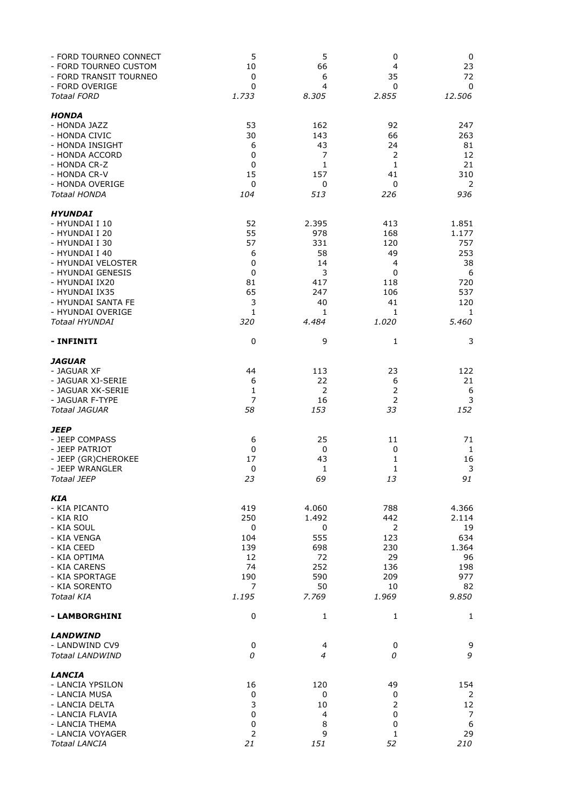| - FORD TOURNEO CONNECT<br>- FORD TOURNEO CUSTOM<br>- FORD TRANSIT TOURNEO<br>- FORD OVERIGE                                                                                                                                               | 5<br>10<br>0<br>0                                                        | 5<br>66<br>6<br>4                                                      | $\pmb{0}$<br>4<br>35<br>0                                                        | 0<br>23<br>72<br>0                                                         |
|-------------------------------------------------------------------------------------------------------------------------------------------------------------------------------------------------------------------------------------------|--------------------------------------------------------------------------|------------------------------------------------------------------------|----------------------------------------------------------------------------------|----------------------------------------------------------------------------|
| <b>Totaal FORD</b>                                                                                                                                                                                                                        | 1.733                                                                    | 8.305                                                                  | 2.855                                                                            | 12.506                                                                     |
| <b>HONDA</b><br>- HONDA JAZZ<br>- HONDA CIVIC<br>- HONDA INSIGHT<br>- HONDA ACCORD<br>- HONDA CR-Z<br>- HONDA CR-V<br>- HONDA OVERIGE<br><b>Totaal HONDA</b>                                                                              | 53<br>30<br>6<br>0<br>0<br>15<br>$\mathbf 0$<br>104                      | 162<br>143<br>43<br>7<br>1<br>157<br>0<br>513                          | 92<br>66<br>24<br>2<br>$\mathbf 1$<br>41<br>0<br>226                             | 247<br>263<br>81<br>12<br>21<br>310<br>2<br>936                            |
| <b>HYUNDAI</b><br>- HYUNDAI I 10<br>- HYUNDAI I 20<br>- HYUNDAI I 30<br>- HYUNDAI I 40<br>- HYUNDAI VELOSTER<br>- HYUNDAI GENESIS<br>- HYUNDAI IX20<br>- HYUNDAI IX35<br>- HYUNDAI SANTA FE<br>- HYUNDAI OVERIGE<br><b>Totaal HYUNDAI</b> | 52<br>55<br>57<br>6<br>0<br>$\mathbf 0$<br>81<br>65<br>3<br>1<br>320     | 2.395<br>978<br>331<br>58<br>14<br>3<br>417<br>247<br>40<br>1<br>4.484 | 413<br>168<br>120<br>49<br>$\overline{4}$<br>0<br>118<br>106<br>41<br>1<br>1.020 | 1.851<br>1.177<br>757<br>253<br>38<br>6<br>720<br>537<br>120<br>1<br>5.460 |
| - INFINITI                                                                                                                                                                                                                                | 0                                                                        | 9                                                                      | $\mathbf{1}$                                                                     | 3                                                                          |
| <i><b>JAGUAR</b></i><br>- JAGUAR XF<br>- JAGUAR XJ-SERIE<br>- JAGUAR XK-SERIE<br>- JAGUAR F-TYPE<br>Totaal JAGUAR                                                                                                                         | 44<br>6<br>$\mathbf{1}$<br>$\overline{7}$<br>58                          | 113<br>22<br>2<br>16<br>153                                            | 23<br>6<br>$\overline{2}$<br>$\overline{2}$<br>33                                | 122<br>21<br>6<br>3<br>152                                                 |
| <i><b>JEEP</b></i><br>- JEEP COMPASS<br>- JEEP PATRIOT<br>- JEEP (GR)CHEROKEE<br>- JEEP WRANGLER<br>Totaal JEEP                                                                                                                           | 6<br>$\mathbf 0$<br>17<br>$\pmb{0}$<br>23                                | 25<br>0<br>43<br>1<br>69                                               | 11<br>0<br>1<br>1<br>13                                                          | 71<br>1<br>16<br>$\mathsf 3$<br>91                                         |
| <b>KIA</b><br>- KIA PICANTO<br>- KIA RIO<br>- KIA SOUL<br>- KIA VENGA<br>- KIA CEED<br>- KIA OPTIMA<br>- KIA CARENS<br>- KIA SPORTAGE<br>- KIA SORENTO<br>Totaal KIA                                                                      | 419<br>250<br>$\mathbf 0$<br>104<br>139<br>12<br>74<br>190<br>7<br>1.195 | 4.060<br>1.492<br>0<br>555<br>698<br>72<br>252<br>590<br>50<br>7.769   | 788<br>442<br>2<br>123<br>230<br>29<br>136<br>209<br>10<br>1.969                 | 4.366<br>2.114<br>19<br>634<br>1.364<br>96<br>198<br>977<br>82<br>9.850    |
| - LAMBORGHINI                                                                                                                                                                                                                             | 0                                                                        | 1                                                                      | $\mathbf{1}$                                                                     | 1                                                                          |
| <b>LANDWIND</b><br>- LANDWIND CV9<br><b>Totaal LANDWIND</b>                                                                                                                                                                               | $\mathbf 0$<br>0                                                         | 4<br>4                                                                 | 0<br>0                                                                           | 9<br>9                                                                     |
| LANCIA<br>- LANCIA YPSILON<br>- LANCIA MUSA<br>- LANCIA DELTA<br>- LANCIA FLAVIA<br>- LANCIA THEMA<br>- LANCIA VOYAGER<br><b>Totaal LANCIA</b>                                                                                            | 16<br>0<br>3<br>0<br>$\pmb{0}$<br>$\overline{2}$<br>21                   | 120<br>0<br>10<br>4<br>8<br>9<br>151                                   | 49<br>0<br>2<br>0<br>0<br>$\mathbf{1}$<br>52                                     | 154<br>2<br>12<br>7<br>$\boldsymbol{6}$<br>29<br>210                       |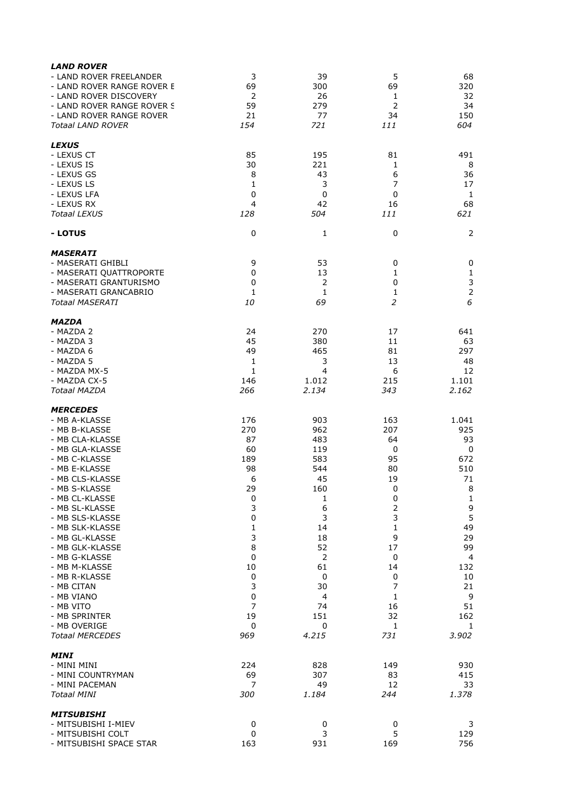| <b>LAND ROVER</b>          |             |                |                |                |
|----------------------------|-------------|----------------|----------------|----------------|
| - LAND ROVER FREELANDER    | 3           | 39             | 5              | 68             |
| - LAND ROVER RANGE ROVER E | 69          | 300            | 69             | 320            |
| - LAND ROVER DISCOVERY     | 2           | 26             | 1              | 32             |
| - LAND ROVER RANGE ROVER S | 59          | 279            | $\overline{2}$ | 34             |
| - LAND ROVER RANGE ROVER   | 21          | 77             | 34             | 150            |
| <b>Totaal LAND ROVER</b>   | 154         | 721            | 111            | 604            |
| <b>LEXUS</b>               |             |                |                |                |
| - LEXUS CT                 | 85          | 195            | 81             | 491            |
| - LEXUS IS                 | 30          | 221            | 1              | 8              |
| - LEXUS GS                 | 8           | 43             | 6              | 36             |
| - LEXUS LS                 | 1           | 3              | 7              | 17             |
| - LEXUS LFA                | 0           | 0              | 0              | 1              |
| - LEXUS RX                 | 4           | 42             | 16             | 68             |
| <b>Totaal LEXUS</b>        | 128         | 504            | 111            | 621            |
| - LOTUS                    | $\mathbf 0$ | 1              | 0              | 2              |
| <b>MASERATI</b>            |             |                |                |                |
| - MASERATI GHIBLI          | 9           | 53             | 0              | 0              |
| - MASERATI QUATTROPORTE    | 0           | 13             | 1              | $\mathbf 1$    |
| - MASERATI GRANTURISMO     | 0           | 2              | 0              | 3              |
| - MASERATI GRANCABRIO      | 1           | 1              | 1              |                |
| <b>Totaal MASERATI</b>     | 10          | 69             | $\overline{2}$ | 6              |
| MAZDA                      |             |                |                |                |
| - MAZDA 2                  | 24          | 270            | 17             | 641            |
| - MAZDA 3                  | 45          | 380            | 11             | 63             |
| - MAZDA 6                  | 49          | 465            | 81             | 297            |
| - MAZDA 5                  | 1           | 3              | 13             | 48             |
| - MAZDA MX-5               | 1           | 4              | 6              | 12             |
| - MAZDA CX-5               | 146         | 1.012          | 215            | 1.101          |
| <b>Totaal MAZDA</b>        | 266         | 2.134          | 343            | 2.162          |
| <b>MERCEDES</b>            |             |                |                |                |
| - MB A-KLASSE              | 176         | 903            | 163            | 1.041          |
| - MB B-KLASSE              | 270         | 962            | 207            | 925            |
| - MB CLA-KLASSE            | 87          | 483            | 64             | 93             |
| - MB GLA-KLASSE            | 60          | 119            | 0              | 0              |
| - MB C-KLASSE              | 189         | 583            | 95             | 672            |
| - MB E-KLASSE              | 98          | 544            | 80             | 510            |
| - MB CLS-KLASSE            | 6           | 45             | 19             | 71             |
| - MB S-KLASSE              | 29          | 160            | 0              | 8              |
| - MB CL-KLASSE             | 0           | 1              | 0              | $\mathbf{1}$   |
| - MB SL-KLASSE             | 3           | 6              | $\mathsf{2}$   | 9              |
| - MB SLS-KLASSE            | $\pmb{0}$   | 3              | 3              | 5              |
| - MB SLK-KLASSE            | 1           | 14             | 1              | 49             |
| - MB GL-KLASSE             | 3           | 18             | 9              | 29             |
| - MB GLK-KLASSE            | 8           | 52             | 17             | 99             |
| - MB G-KLASSE              | 0           | $\overline{2}$ | 0              | $\overline{4}$ |
| - MB M-KLASSE              | 10          | 61             | 14             | 132            |
| - MB R-KLASSE              | 0           | 0              | 0              | 10             |
| - MB CITAN                 | 3           | 30             | 7              | 21             |
| - MB VIANO                 | 0           | 4              | 1              | 9              |
| - MB VITO                  | 7           | 74             | 16             | 51             |
| - MB SPRINTER              | 19          | 151            | 32             | 162            |
| - MB OVERIGE               | $\pmb{0}$   | 0              | 1              | 1              |
| <b>Totaal MERCEDES</b>     | 969         | 4.215          | 731            | 3.902          |
| MINI                       |             |                |                |                |
| - MINI MINI                | 224         | 828            | 149            | 930            |
| - MINI COUNTRYMAN          | 69          | 307            | 83             | 415            |
| - MINI PACEMAN             | 7           | 49             | 12             | 33             |
| Totaal MINI                | 300         | 1.184          | 244            | 1.378          |
| <i><b>MITSUBISHI</b></i>   |             |                |                |                |
| - MITSUBISHI I-MIEV        | 0           | 0              | 0              | 3              |
| - MITSUBISHI COLT          | 0           | 3              | 5              | 129            |
| - MITSUBISHI SPACE STAR    | 163         | 931            | 169            | 756            |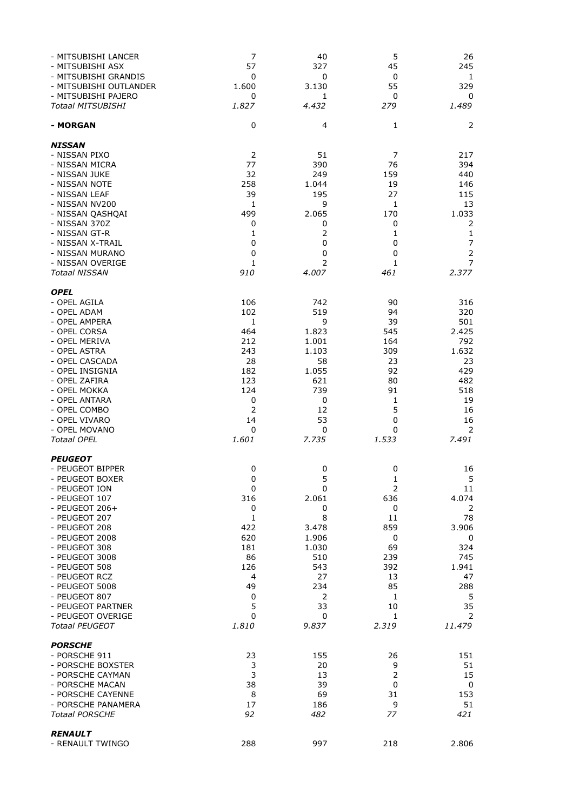| - MITSUBISHI LANCER<br>- MITSUBISHI ASX<br>- MITSUBISHI GRANDIS<br>- MITSUBISHI OUTLANDER<br>- MITSUBISHI PAJERO<br><b>Totaal MITSUBISHI</b>                                                                                                                                                                                               | 7<br>57<br>0<br>1.600<br>0<br>1.827                                                                                 | 40<br>327<br>0<br>3.130<br>1<br>4.432                                                                         | 5<br>45<br>0<br>55<br>0<br>279                                                                               | 26<br>245<br>$\mathbf{1}$<br>329<br>0<br>1.489                                                                        |
|--------------------------------------------------------------------------------------------------------------------------------------------------------------------------------------------------------------------------------------------------------------------------------------------------------------------------------------------|---------------------------------------------------------------------------------------------------------------------|---------------------------------------------------------------------------------------------------------------|--------------------------------------------------------------------------------------------------------------|-----------------------------------------------------------------------------------------------------------------------|
| - MORGAN                                                                                                                                                                                                                                                                                                                                   | 0                                                                                                                   | 4                                                                                                             | 1                                                                                                            | 2                                                                                                                     |
| <b>NISSAN</b><br>- NISSAN PIXO<br>- NISSAN MICRA<br>- NISSAN JUKE<br>- NISSAN NOTE<br>- NISSAN LEAF<br>- NISSAN NV200<br>- NISSAN QASHQAI<br>- NISSAN 370Z<br>- NISSAN GT-R<br>- NISSAN X-TRAIL<br>- NISSAN MURANO<br>- NISSAN OVERIGE<br><b>Totaal NISSAN</b>                                                                             | 2<br>77<br>32<br>258<br>39<br>1<br>499<br>0<br>1<br>0<br>0<br>1<br>910                                              | 51<br>390<br>249<br>1.044<br>195<br>9<br>2.065<br>0<br>0<br>0<br>$\overline{2}$<br>4.007                      | 7<br>76<br>159<br>19<br>27<br>1<br>170<br>0<br>1<br>0<br>0<br>1<br>461                                       | 217<br>394<br>440<br>146<br>115<br>13<br>1.033<br>2<br>$\mathbf{1}$<br>7<br>$\overline{2}$<br>$\overline{7}$<br>2.377 |
| <b>OPEL</b><br>- OPEL AGILA<br>- OPEL ADAM<br>- OPEL AMPERA<br>- OPEL CORSA<br>- OPEL MERIVA<br>- OPEL ASTRA<br>- OPEL CASCADA<br>- OPEL INSIGNIA<br>- OPEL ZAFIRA<br>- OPEL MOKKA<br>- OPEL ANTARA<br>- OPEL COMBO<br>- OPEL VIVARO<br>- OPEL MOVANO<br><b>Totaal OPEL</b>                                                                | 106<br>102<br>1<br>464<br>212<br>243<br>28<br>182<br>123<br>124<br>0<br>2<br>14<br>0<br>1.601                       | 742<br>519<br>9<br>1.823<br>1.001<br>1.103<br>58<br>1.055<br>621<br>739<br>0<br>12<br>53<br>0<br>7.735        | 90<br>94<br>39<br>545<br>164<br>309<br>23<br>92<br>80<br>91<br>1<br>5<br>$\mathbf 0$<br>0<br>1.533           | 316<br>320<br>501<br>2.425<br>792<br>1.632<br>23<br>429<br>482<br>518<br>19<br>16<br>16<br>$\overline{2}$<br>7.491    |
| <b>PEUGEOT</b><br>- PEUGEOT BIPPER<br>- PEUGEOT BOXER<br>- PEUGEOT ION<br>- PEUGEOT 107<br>- PEUGEOT $206+$<br>- PEUGEOT 207<br>- PEUGEOT 208<br>- PEUGEOT 2008<br>- PEUGEOT 308<br>- PEUGEOT 3008<br>- PEUGEOT 508<br>- PEUGEOT RCZ<br>- PEUGEOT 5008<br>- PEUGEOT 807<br>- PEUGEOT PARTNER<br>- PEUGEOT OVERIGE<br><b>Totaal PEUGEOT</b> | 0<br>0<br>$\pmb{0}$<br>316<br>0<br>$\mathbf 1$<br>422<br>620<br>181<br>86<br>126<br>4<br>49<br>0<br>5<br>0<br>1.810 | 0<br>5<br>0<br>2.061<br>0<br>8<br>3.478<br>1.906<br>1.030<br>510<br>543<br>27<br>234<br>2<br>33<br>0<br>9.837 | 0<br>1<br>$\mathbf 2$<br>636<br>0<br>11<br>859<br>0<br>69<br>239<br>392<br>13<br>85<br>1<br>10<br>1<br>2.319 | 16<br>5<br>11<br>4.074<br>2<br>78<br>3.906<br>0<br>324<br>745<br>1.941<br>47<br>288<br>5<br>35<br>2<br>11.479         |
| <b>PORSCHE</b><br>- PORSCHE 911<br>- PORSCHE BOXSTER<br>- PORSCHE CAYMAN<br>- PORSCHE MACAN<br>- PORSCHE CAYENNE<br>- PORSCHE PANAMERA<br><b>Totaal PORSCHE</b><br><b>RENAULT</b>                                                                                                                                                          | 23<br>3<br>3<br>38<br>8<br>17<br>92                                                                                 | 155<br>20<br>13<br>39<br>69<br>186<br>482                                                                     | 26<br>9<br>$\overline{2}$<br>0<br>31<br>9<br>77                                                              | 151<br>51<br>15<br>0<br>153<br>51<br>421                                                                              |
| - RENAULT TWINGO                                                                                                                                                                                                                                                                                                                           | 288                                                                                                                 | 997                                                                                                           | 218                                                                                                          | 2.806                                                                                                                 |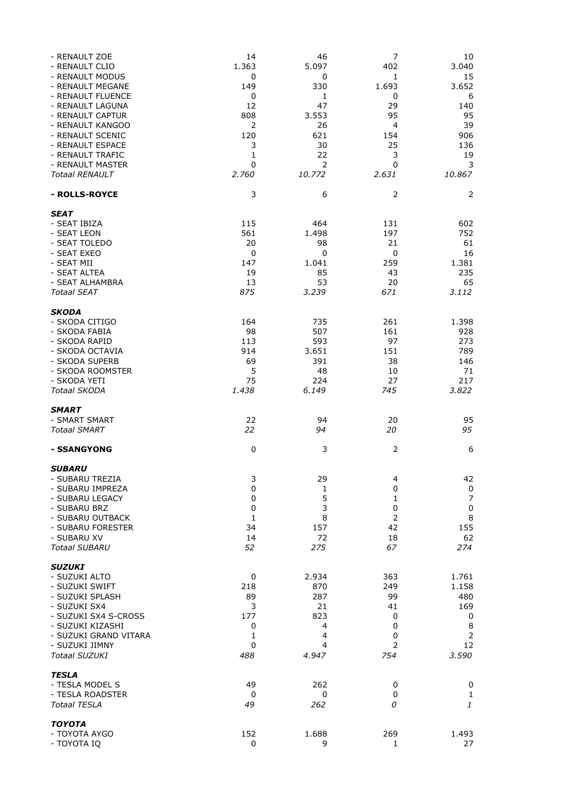| - RENAULT ZOE<br>- RENAULT CLIO<br>- RENAULT MODUS<br>- RENAULT MEGANE              | 14<br>1.363<br>0<br>149               | 46<br>5.097<br>0<br>330          | $\overline{7}$<br>402<br>1<br>1.693 | 10<br>3.040<br>15<br>3.652    |
|-------------------------------------------------------------------------------------|---------------------------------------|----------------------------------|-------------------------------------|-------------------------------|
| - RENAULT FLUENCE<br>- RENAULT LAGUNA<br>- RENAULT CAPTUR                           | $\mathbf 0$<br>12<br>808              | 1<br>47<br>3.553                 | $\mathbf 0$<br>29<br>95             | 6<br>140<br>95                |
| - RENAULT KANGOO<br>- RENAULT SCENIC<br>- RENAULT ESPACE                            | $\overline{2}$<br>120<br>3            | 26<br>621<br>30                  | $\overline{a}$<br>154<br>25         | 39<br>906<br>136              |
| - RENAULT TRAFIC<br>- RENAULT MASTER<br><b>Totaal RENAULT</b>                       | 1<br>$\mathbf 0$<br>2.760             | 22<br>$\overline{2}$             | 3<br>0<br>2.631                     | 19<br>3<br>10.867             |
| - ROLLS-ROYCE                                                                       | 3                                     | 10.772<br>6                      | $\overline{2}$                      | 2                             |
| SEAT                                                                                |                                       |                                  |                                     |                               |
| - SEAT IBIZA<br>- SEAT LEON<br>- SEAT TOLEDO                                        | 115<br>561<br>20                      | 464<br>1.498<br>98               | 131<br>197<br>21                    | 602<br>752<br>61              |
| - SEAT EXEO<br>- SEAT MII<br>- SEAT ALTEA<br>- SEAT ALHAMBRA                        | $\mathbf 0$<br>147<br>19<br>13        | $\mathbf 0$<br>1.041<br>85<br>53 | $\mathbf 0$<br>259<br>43<br>20      | 16<br>1.381<br>235<br>65      |
| <b>Totaal SEAT</b>                                                                  | 875                                   | 3.239                            | 671                                 | 3.112                         |
| <b>SKODA</b><br>- SKODA CITIGO<br>- SKODA FABIA<br>- SKODA RAPID                    | 164<br>98<br>113                      | 735<br>507<br>593                | 261<br>161<br>97                    | 1.398<br>928<br>273           |
| - SKODA OCTAVIA<br>- SKODA SUPERB<br>- SKODA ROOMSTER                               | 914<br>69<br>5                        | 3.651<br>391<br>48               | 151<br>38<br>10                     | 789<br>146<br>71              |
| - SKODA YETI<br><b>Totaal SKODA</b>                                                 | 75<br>1.438                           | 224<br>6.149                     | 27<br>745                           | 217<br>3.822                  |
| <b>SMART</b>                                                                        |                                       |                                  |                                     |                               |
| - SMART SMART<br><b>Totaal SMART</b>                                                | 22<br>22                              | 94<br>94                         | 20<br>20                            | 95<br>95                      |
| - SSANGYONG                                                                         | $\mathbf 0$                           | 3                                | $\overline{2}$                      | 6                             |
| <b>SUBARU</b><br>- SUBARU TREZIA<br>- SUBARU IMPREZA                                | 3                                     | 29<br>$\mathbf{1}$               | 4<br>0                              | 42                            |
| - SUBARU LEGACY<br>- SUBARU BRZ<br>- SUBARU OUTBACK                                 | 0<br>0<br>$\mathbf 0$<br>$\mathbf{1}$ | 5<br>3<br>8                      | 1<br>$\mathbf 0$<br>$\overline{2}$  | 0<br>$\overline{7}$<br>0<br>8 |
| - SUBARU FORESTER<br>- SUBARU XV<br><b>Totaal SUBARU</b>                            | 34<br>14<br>52                        | 157<br>72<br>275                 | 42<br>18<br>67                      | 155<br>62<br>274              |
| <b>SUZUKI</b><br>- SUZUKI ALTO<br>- SUZUKI SWIFT                                    | 0<br>218                              | 2.934<br>870                     | 363<br>249                          | 1.761<br>1.158                |
| - SUZUKI SPLASH<br>- SUZUKI SX4<br>- SUZUKI SX4 S-CROSS                             | 89<br>3<br>177                        | 287<br>21<br>823                 | 99<br>41<br>0                       | 480<br>169<br>0               |
| - SUZUKI KIZASHI<br>- SUZUKI GRAND VITARA<br>- SUZUKI JIMNY<br><b>Totaal SUZUKI</b> | 0<br>1<br>0<br>488                    | 4<br>4<br>4<br>4.947             | 0<br>0<br>$\overline{2}$<br>754     | 8<br>2<br>12<br>3.590         |
| <b>TESLA</b><br>- TESLA MODEL S<br>- TESLA ROADSTER                                 | 49<br>0                               | 262<br>0                         | 0<br>0                              | 0<br>1                        |
| <b>Totaal TESLA</b>                                                                 | 49                                    | 262                              | 0                                   | 1                             |
| <b>TOYOTA</b><br>- TOYOTA AYGO<br>- TOYOTA IQ                                       | 152<br>0                              | 1.688<br>9                       | 269<br>1                            | 1.493<br>27                   |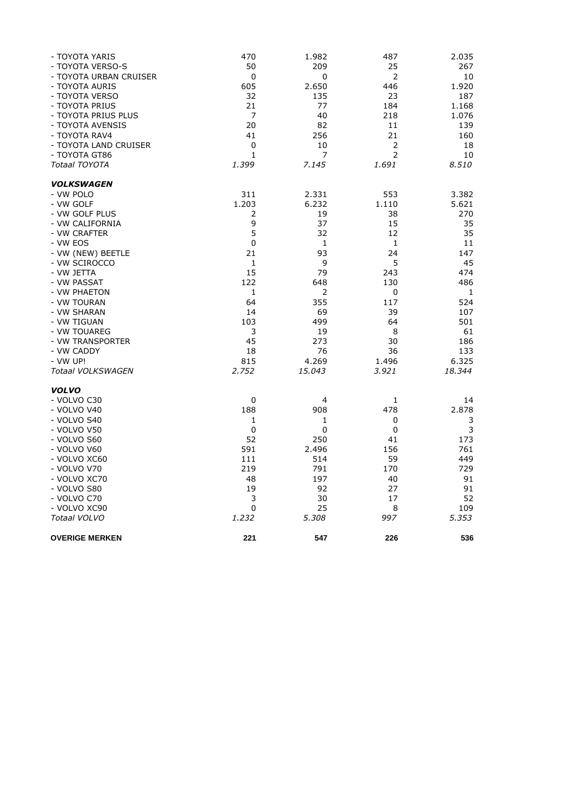| - TOYOTA YARIS         | 470            | 1.982       | 487   | 2.035  |
|------------------------|----------------|-------------|-------|--------|
| - TOYOTA VERSO-S       | 50             | 209         | 25    | 267    |
| - TOYOTA URBAN CRUISER | 0              | 0           | 2     | 10     |
| - TOYOTA AURIS         | 605            | 2.650       | 446   | 1.920  |
| - TOYOTA VERSO         | 32             | 135         | 23    | 187    |
| - TOYOTA PRIUS         | 21             | 77          | 184   | 1.168  |
| - TOYOTA PRIUS PLUS    | $\overline{7}$ | 40          | 218   | 1.076  |
| - TOYOTA AVENSIS       | 20             | 82          | 11    | 139    |
| - TOYOTA RAV4          | 41             | 256         | 21    | 160    |
| - TOYOTA LAND CRUISER  | 0              | 10          | 2     | 18     |
| - TOYOTA GT86          | 1              | 7           | 2     | 10     |
| Totaal TOYOTA          | 1.399          | 7.145       | 1.691 | 8.510  |
| <b>VOLKSWAGEN</b>      |                |             |       |        |
| - VW POLO              | 311            | 2.331       | 553   | 3.382  |
| - VW GOLF              | 1.203          | 6.232       | 1.110 | 5.621  |
| - VW GOLF PLUS         | 2              | 19          | 38    | 270    |
| - VW CALIFORNIA        | 9              | 37          | 15    | 35     |
| - VW CRAFTER           | 5              | 32          | 12    | 35     |
| - VW EOS               | 0              | 1           | 1     | 11     |
| - VW (NEW) BEETLE      | 21             | 93          | 24    | 147    |
| - VW SCIROCCO          | 1              | 9           | 5     | 45     |
| - VW JETTA             | 15             | 79          | 243   | 474    |
| - VW PASSAT            | 122            | 648         | 130   | 486    |
| - VW PHAETON           | 1              | 2           | 0     | 1      |
| - VW TOURAN            | 64             | 355         | 117   | 524    |
| - VW SHARAN            | 14             | 69          | 39    | 107    |
| - VW TIGUAN            | 103            | 499         | 64    | 501    |
| - VW TOUAREG           | 3              | 19          | 8     | 61     |
| - VW TRANSPORTER       | 45             | 273         | 30    | 186    |
| - VW CADDY             | 18             | 76          | 36    | 133    |
| - VW UP!               | 815            | 4.269       | 1.496 | 6.325  |
| Totaal VOLKSWAGEN      | 2.752          | 15.043      | 3.921 | 18.344 |
| <b>VOLVO</b>           |                |             |       |        |
| - VOLVO C30            | 0              | 4           | 1     | 14     |
| - VOLVO V40            | 188            | 908         | 478   | 2.878  |
| - VOLVO S40            | 1              | 1           | 0     | 3      |
| - VOLVO V50            | 0              | $\mathbf 0$ | 0     | 3      |
| - VOLVO S60            | 52             | 250         | 41    | 173    |
| - VOLVO V60            | 591            | 2.496       | 156   | 761    |
| - VOLVO XC60           | 111            | 514         | 59    | 449    |
| - VOLVO V70            | 219            | 791         | 170   | 729    |
| - VOLVO XC70           | 48             | 197         | 40    | 91     |
| - VOLVO S80            | 19             | 92          | 27    | 91     |
| - VOLVO C70            | 3              | 30          | 17    | 52     |
| - VOLVO XC90           | 0              | 25          | 8     | 109    |
| Totaal VOLVO           | 1.232          | 5.308       | 997   | 5.353  |
| <b>OVERIGE MERKEN</b>  | 221            | 547         | 226   | 536    |